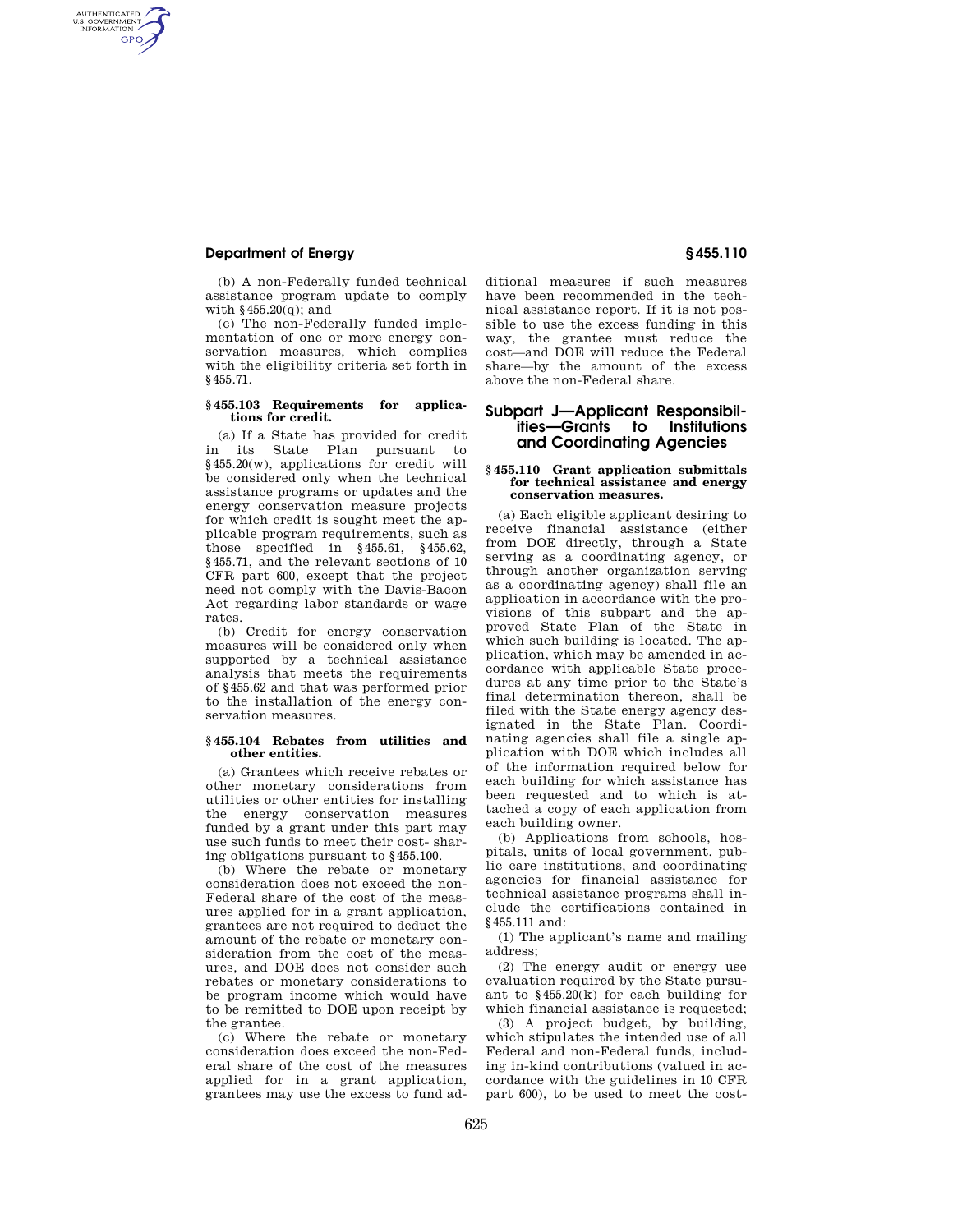## **Department of Energy § 455.110**

AUTHENTICATED<br>U.S. GOVERNMENT<br>INFORMATION **GPO** 

> (b) A non-Federally funded technical assistance program update to comply with §455.20(q); and

(c) The non-Federally funded implementation of one or more energy conservation measures, which complies with the eligibility criteria set forth in §455.71.

### **§ 455.103 Requirements for applications for credit.**

(a) If a State has provided for credit in its State Plan pursuant to §455.20(w), applications for credit will be considered only when the technical assistance programs or updates and the energy conservation measure projects for which credit is sought meet the applicable program requirements, such as those specified in  $§455.61$ ,  $§455.62$ , §455.71, and the relevant sections of 10 CFR part 600, except that the project need not comply with the Davis-Bacon Act regarding labor standards or wage rates.

(b) Credit for energy conservation measures will be considered only when supported by a technical assistance analysis that meets the requirements of §455.62 and that was performed prior to the installation of the energy conservation measures.

### **§ 455.104 Rebates from utilities and other entities.**

(a) Grantees which receive rebates or other monetary considerations from utilities or other entities for installing the energy conservation measures funded by a grant under this part may use such funds to meet their cost- sharing obligations pursuant to §455.100.

(b) Where the rebate or monetary consideration does not exceed the non-Federal share of the cost of the measures applied for in a grant application, grantees are not required to deduct the amount of the rebate or monetary consideration from the cost of the measures, and DOE does not consider such rebates or monetary considerations to be program income which would have to be remitted to DOE upon receipt by the grantee.

(c) Where the rebate or monetary consideration does exceed the non-Federal share of the cost of the measures applied for in a grant application, grantees may use the excess to fund additional measures if such measures have been recommended in the technical assistance report. If it is not possible to use the excess funding in this way, the grantee must reduce the cost—and DOE will reduce the Federal share—by the amount of the excess above the non-Federal share.

# **Subpart J—Applicant Responsibilities—Grants to Institutions and Coordinating Agencies**

#### **§ 455.110 Grant application submittals for technical assistance and energy conservation measures.**

(a) Each eligible applicant desiring to receive financial assistance (either from DOE directly, through a State serving as a coordinating agency, or through another organization serving as a coordinating agency) shall file an application in accordance with the provisions of this subpart and the approved State Plan of the State in which such building is located. The application, which may be amended in accordance with applicable State procedures at any time prior to the State's final determination thereon, shall be filed with the State energy agency designated in the State Plan. Coordinating agencies shall file a single application with DOE which includes all of the information required below for each building for which assistance has been requested and to which is attached a copy of each application from each building owner.

(b) Applications from schools, hospitals, units of local government, public care institutions, and coordinating agencies for financial assistance for technical assistance programs shall include the certifications contained in §455.111 and:

(1) The applicant's name and mailing address;

(2) The energy audit or energy use evaluation required by the State pursuant to §455.20(k) for each building for which financial assistance is requested;

(3) A project budget, by building, which stipulates the intended use of all Federal and non-Federal funds, including in-kind contributions (valued in accordance with the guidelines in 10 CFR part 600), to be used to meet the cost